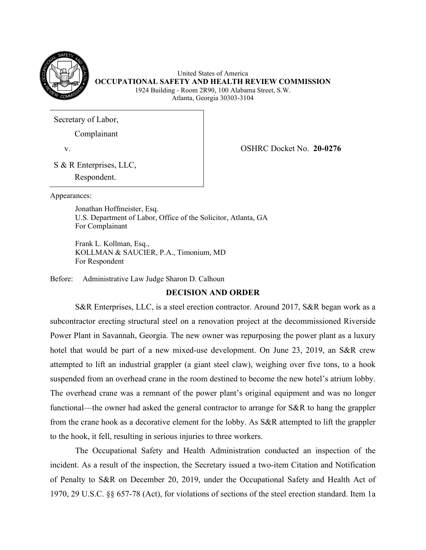

United States of America **OCCUPATIONAL SAFETY AND HEALTH REVIEW COMMISSION**  1924 Building - Room 2R90, 100 Alabama Street, S.W. Atlanta, Georgia 30303-3104

Secretary of Labor,

Complainant

v. OSHRC Docket No. **20-0276** 

S & R Enterprises, LLC,

Respondent.

Appearances:

 U.S. Department of Labor, Office of the Solicitor, Atlanta, GA For Complainant Jonathan Hoffmeister, Esq.

Frank L. Kollman, Esq., KOLLMAN & SAUCIER, P.A., Timonium, MD For Respondent

Before: Administrative Law Judge Sharon D. Calhoun

# **DECISION AND ORDER**

 S&R Enterprises, LLC, is a steel erection contractor. Around 2017, S&R began work as a subcontractor erecting structural steel on a renovation project at the decommissioned Riverside Power Plant in Savannah, Georgia. The new owner was repurposing the power plant as a luxury hotel that would be part of a new mixed-use development. On June 23, 2019, an S&R crew functional—the owner had asked the general contractor to arrange for S&R to hang the grappler to the hook, it fell, resulting in serious injuries to three workers. attempted to lift an industrial grappler (a giant steel claw), weighing over five tons, to a hook suspended from an overhead crane in the room destined to become the new hotel's atrium lobby. The overhead crane was a remnant of the power plant's original equipment and was no longer from the crane hook as a decorative element for the lobby. As S&R attempted to lift the grappler

 1970, 29 U.S.C. §§ 657-78 (Act), for violations of sections of the steel erection standard. Item 1a The Occupational Safety and Health Administration conducted an inspection of the incident. As a result of the inspection, the Secretary issued a two-item Citation and Notification of Penalty to S&R on December 20, 2019, under the Occupational Safety and Health Act of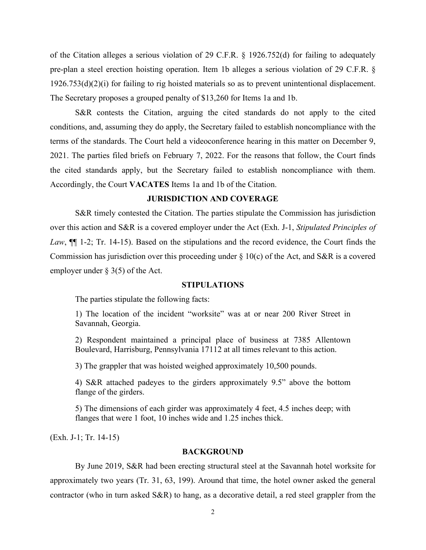of the Citation alleges a serious violation of 29 C.F.R. § 1926.752(d) for failing to adequately The Secretary proposes a grouped penalty of \$13,260 for Items 1a and 1b. pre-plan a steel erection hoisting operation. Item 1b alleges a serious violation of 29 C.F.R. § 1926.753(d)(2)(i) for failing to rig hoisted materials so as to prevent unintentional displacement.

 terms of the standards. The Court held a videoconference hearing in this matter on December 9, Accordingly, the Court **VACATES** Items 1a and 1b of the Citation. S&R contests the Citation, arguing the cited standards do not apply to the cited conditions, and, assuming they do apply, the Secretary failed to establish noncompliance with the 2021. The parties filed briefs on February 7, 2022. For the reasons that follow, the Court finds the cited standards apply, but the Secretary failed to establish noncompliance with them.

# **JURISDICTION AND COVERAGE**

Commission has jurisdiction over this proceeding under  $\S 10(c)$  of the Act, and S&R is a covered S&R timely contested the Citation. The parties stipulate the Commission has jurisdiction over this action and S&R is a covered employer under the Act (Exh. J-1, *Stipulated Principles of Law*, ¶¶ 1-2; Tr. 14-15). Based on the stipulations and the record evidence, the Court finds the employer under  $\S$  3(5) of the Act.

#### **STIPULATIONS**

The parties stipulate the following facts:

1) The location of the incident "worksite" was at or near 200 River Street in Savannah, Georgia.

2) Respondent maintained a principal place of business at 7385 Allentown Boulevard, Harrisburg, Pennsylvania 17112 at all times relevant to this action.

3) The grappler that was hoisted weighed approximately 10,500 pounds.

 flange of the girders. 4) S&R attached padeyes to the girders approximately 9.5" above the bottom

5) The dimensions of each girder was approximately 4 feet, 4.5 inches deep; with flanges that were 1 foot, 10 inches wide and 1.25 inches thick.

(Exh. J-1; Tr. 14-15)

#### **BACKGROUND**

 By June 2019, S&R had been erecting structural steel at the Savannah hotel worksite for approximately two years (Tr. 31, 63, 199). Around that time, the hotel owner asked the general contractor (who in turn asked S&R) to hang, as a decorative detail, a red steel grappler from the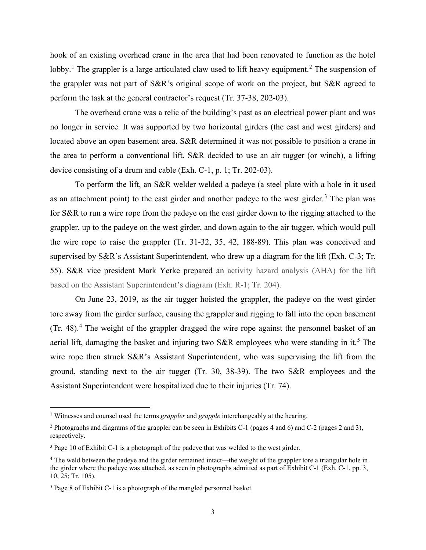the grappler was not part of S&R's original scope of work on the project, but S&R agreed to perform the task at the general contractor's request (Tr. 37-38, 202-03). hook of an existing overhead crane in the area that had been renovated to function as the hotel lobby.<sup>1</sup> The grappler is a large articulated claw used to lift heavy equipment.<sup>2</sup> The suspension of

 located above an open basement area. S&R determined it was not possible to position a crane in device consisting of a drum and cable (Exh. C-1, p. 1; Tr. 202-03). The overhead crane was a relic of the building's past as an electrical power plant and was no longer in service. It was supported by two horizontal girders (the east and west girders) and the area to perform a conventional lift. S&R decided to use an air tugger (or winch), a lifting

 To perform the lift, an S&R welder welded a padeye (a steel plate with a hole in it used as an attachment point) to the east girder and another padeye to the west girder.<sup>[3](#page-2-2)</sup> The plan was the wire rope to raise the grappler (Tr. 31-32, 35, 42, 188-89). This plan was conceived and supervised by S&R's Assistant Superintendent, who drew up a diagram for the lift (Exh. C-3; Tr. for S&R to run a wire rope from the padeye on the east girder down to the rigging attached to the grappler, up to the padeye on the west girder, and down again to the air tugger, which would pull 55). S&R vice president Mark Yerke prepared an activity hazard analysis (AHA) for the lift based on the Assistant Superintendent's diagram (Exh. R-1; Tr. 204).

(Tr. [4](#page-2-3)8).<sup>4</sup> The weight of the grappler dragged the wire rope against the personnel basket of an aerial lift, damaging the basket and injuring two S&R employees who were standing in it.<sup>5</sup> The On June 23, 2019, as the air tugger hoisted the grappler, the padeye on the west girder tore away from the girder surface, causing the grappler and rigging to fall into the open basement wire rope then struck S&R's Assistant Superintendent, who was supervising the lift from the ground, standing next to the air tugger (Tr. 30, 38-39). The two S&R employees and the Assistant Superintendent were hospitalized due to their injuries (Tr. 74).

<span id="page-2-0"></span><sup>&</sup>lt;sup>1</sup> Witnesses and counsel used the terms *grappler* and *grapple* interchangeably at the hearing.

<span id="page-2-1"></span><sup>&</sup>lt;sup>1</sup> Witnesses and counsel used the terms *grappler* and *grapple* interchangeably at the hearing.<br><sup>2</sup> Photographs and diagrams of the grappler can be seen in Exhibits C-1 (pages 4 and 6) and C-2 (pages 2 and 3), respectively.

<span id="page-2-2"></span><sup>&</sup>lt;sup>3</sup> Page 10 of Exhibit C-1 is a photograph of the padeye that was welded to the west girder.

<span id="page-2-3"></span><sup>&</sup>lt;sup>4</sup> The weld between the padeye and the girder remained intact—the weight of the grappler tore a triangular hole in the girder where the padeye was attached, as seen in photographs admitted as part of Exhibit C-1 (Exh. C-1, pp. 3, 10, 25; Tr. 105).

<span id="page-2-4"></span><sup>5</sup> Page 8 of Exhibit C-1 is a photograph of the mangled personnel basket.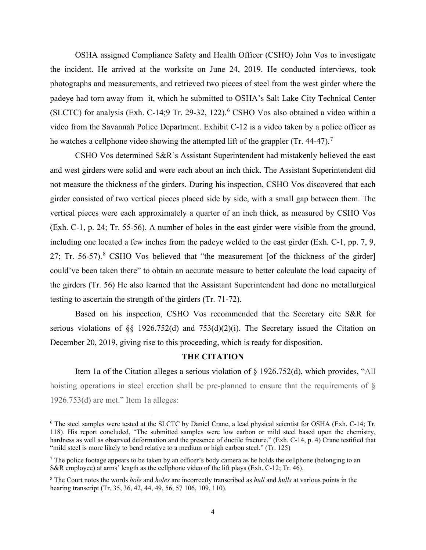photographs and measurements, and retrieved two pieces of steel from the west girder where the (SLCTC) for analysis (Exh. C-14;9 Tr. 29-32, 122).<sup>6</sup> CSHO Vos also obtained a video within a he watches a cellphone video showing the attempted lift of the grappler (Tr. 44-47).<sup>7</sup> OSHA assigned Compliance Safety and Health Officer (CSHO) John Vos to investigate the incident. He arrived at the worksite on June 24, 2019. He conducted interviews, took padeye had torn away from it, which he submitted to OSHA's Salt Lake City Technical Center video from the Savannah Police Department. Exhibit C-12 is a video taken by a police officer as

 not measure the thickness of the girders. During his inspection, CSHO Vos discovered that each including one located a few inches from the padeye welded to the east girder (Exh. C-1, pp. 7, 9, 27; Tr. 56-57).<sup>8</sup> CSHO Vos believed that "the measurement [of the thickness of the girder] the girders (Tr. 56) He also learned that the Assistant Superintendent had done no metallurgical testing to ascertain the strength of the girders (Tr. 71-72). CSHO Vos determined S&R's Assistant Superintendent had mistakenly believed the east and west girders were solid and were each about an inch thick. The Assistant Superintendent did girder consisted of two vertical pieces placed side by side, with a small gap between them. The vertical pieces were each approximately a quarter of an inch thick, as measured by CSHO Vos (Exh. C-1, p. 24; Tr. 55-56). A number of holes in the east girder were visible from the ground, could've been taken there" to obtain an accurate measure to better calculate the load capacity of

 December 20, 2019, giving rise to this proceeding, which is ready for disposition. Based on his inspection, CSHO Vos recommended that the Secretary cite S&R for serious violations of  $\S$ § 1926.752(d) and 753(d)(2)(i). The Secretary issued the Citation on

# **THE CITATION**

Item 1a of the Citation alleges a serious violation of § 1926.752(d), which provides, "All hoisting operations in steel erection shall be pre-planned to ensure that the requirements of § 1926.753(d) are met." Item 1a alleges:

<span id="page-3-0"></span> 6 The steel samples were tested at the SLCTC by Daniel Crane, a lead physical scientist for OSHA (Exh. C-14; Tr. 118). His report concluded, "The submitted samples were low carbon or mild steel based upon the chemistry, hardness as well as observed deformation and the presence of ductile fracture." (Exh. C-14, p. 4) Crane testified that "mild steel is more likely to bend relative to a medium or high carbon steel." (Tr. 125)

<span id="page-3-1"></span> $^7$  The police footage appears to be taken by an officer's body camera as he holds the cellphone (belonging to an S&R employee) at arms' length as the cellphone video of the lift plays (Exh. C-12; Tr. 46).

<span id="page-3-2"></span> 8 The Court notes the words *hole* and *holes* are incorrectly transcribed as *hull* and *hulls* at various points in the hearing transcript (Tr. 35, 36, 42, 44, 49, 56, 57 106, 109, 110).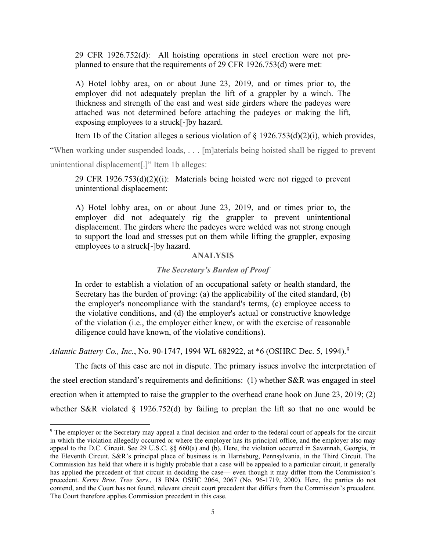29 CFR 1926.752(d): All hoisting operations in steel erection were not pre-planned to ensure that the requirements of 29 CFR 1926.753(d) were met:

 A) Hotel lobby area, on or about June 23, 2019, and or times prior to, the employer did not adequately preplan the lift of a grappler by a winch. The thickness and strength of the east and west side girders where the padeyes were attached was not determined before attaching the padeyes or making the lift, exposing employees to a struck[-]by hazard.

Item 1b of the Citation alleges a serious violation of  $\S$  1926.753(d)(2)(i), which provides,

 unintentional displacement[.]" Item 1b alleges: "When working under suspended loads, . . . [m]aterials being hoisted shall be rigged to prevent

29 CFR 1926.753(d)(2)((i): Materials being hoisted were not rigged to prevent unintentional displacement:

 A) Hotel lobby area, on or about June 23, 2019, and or times prior to, the employer did not adequately rig the grappler to prevent unintentional displacement. The girders where the padeyes were welded was not strong enough to support the load and stresses put on them while lifting the grappler, exposing employees to a struck[-]by hazard.

# **ANALYSIS**

#### *The Secretary's Burden of Proof*

 of the violation (i.e., the employer either knew, or with the exercise of reasonable In order to establish a violation of an occupational safety or health standard, the Secretary has the burden of proving: (a) the applicability of the cited standard, (b) the employer's noncompliance with the standard's terms, (c) employee access to the violative conditions, and (d) the employer's actual or constructive knowledge diligence could have known, of the violative conditions).

*Atlantic Battery Co., Inc., No.* [9](#page-4-0)0-1747, 1994 WL 682922, at \*6 (OSHRC Dec. 5, 1994).<sup>9</sup>

 the steel erection standard's requirements and definitions: (1) whether S&R was engaged in steel whether S&R violated § 1926.752(d) by failing to preplan the lift so that no one would be The facts of this case are not in dispute. The primary issues involve the interpretation of erection when it attempted to raise the grappler to the overhead crane hook on June 23, 2019; (2)

<span id="page-4-0"></span><sup>&</sup>lt;sup>9</sup> The employer or the Secretary may appeal a final decision and order to the federal court of appeals for the circuit the Eleventh Circuit. S&R's principal place of business is in Harrisburg, Pennsylvania, in the Third Circuit. The contend, and the Court has not found, relevant circuit court precedent that differs from the Commission's precedent. in which the violation allegedly occurred or where the employer has its principal office, and the employer also may appeal to the D.C. Circuit. See 29 U.S.C. §§ 660(a) and (b). Here, the violation occurred in Savannah, Georgia, in Commission has held that where it is highly probable that a case will be appealed to a particular circuit, it generally has applied the precedent of that circuit in deciding the case— even though it may differ from the Commission's precedent. *Kerns Bros. Tree Serv*., 18 BNA OSHC 2064, 2067 (No. 96-1719, 2000). Here, the parties do not The Court therefore applies Commission precedent in this case.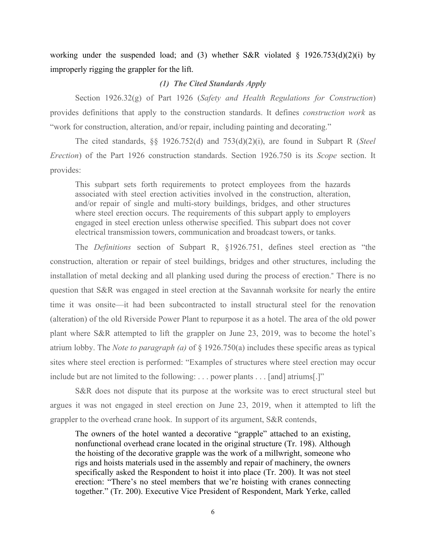improperly rigging the grappler for the lift. working under the suspended load; and (3) whether S&R violated  $\S$  1926.753(d)(2)(i) by

#### *(1) The Cited Standards Apply*

"work for construction, alteration, and/or repair, including painting and decorating." Section 1926.32(g) of Part 1926 (*Safety and Health Regulations for Construction*) provides definitions that apply to the construction standards. It defines *construction work* as

 *Erection*) of the Part 1926 construction standards. Section 1926.750 is its *Scope* section. It The cited standards, §§ 1926.752(d) and 753(d)(2)(i), are found in Subpart R (*Steel* provides:

This subpart sets forth requirements to protect employees from the hazards associated with steel erection activities involved in the construction, alteration, and/or repair of single and multi-story buildings, bridges, and other structures where steel erection occurs. The requirements of this subpart apply to employers engaged in steel erection unless otherwise specified. This subpart does not cover electrical transmission towers, communication and broadcast towers, or tanks.

 (alteration) of the old Riverside Power Plant to repurpose it as a hotel. The area of the old power atrium lobby. The *Note to paragraph (a)* of § 1926.750(a) includes these specific areas as typical include but are not limited to the following: . . . power plants . . . [and] atriums[.]" The *Definitions* section of Subpart R, §1926.751, defines steel erection as "the construction, alteration or repair of steel buildings, bridges and other structures, including the installation of metal decking and all planking used during the process of erection." There is no question that S&R was engaged in steel erection at the Savannah worksite for nearly the entire time it was onsite—it had been subcontracted to install structural steel for the renovation plant where S&R attempted to lift the grappler on June 23, 2019, was to become the hotel's sites where steel erection is performed: "Examples of structures where steel erection may occur

 grappler to the overhead crane hook. In support of its argument, S&R contends, S&R does not dispute that its purpose at the worksite was to erect structural steel but argues it was not engaged in steel erection on June 23, 2019, when it attempted to lift the

 rigs and hoists materials used in the assembly and repair of machinery, the owners The owners of the hotel wanted a decorative "grapple" attached to an existing, nonfunctional overhead crane located in the original structure (Tr. 198). Although the hoisting of the decorative grapple was the work of a millwright, someone who specifically asked the Respondent to hoist it into place (Tr. 200). It was not steel erection: "There's no steel members that we're hoisting with cranes connecting together." (Tr. 200). Executive Vice President of Respondent, Mark Yerke, called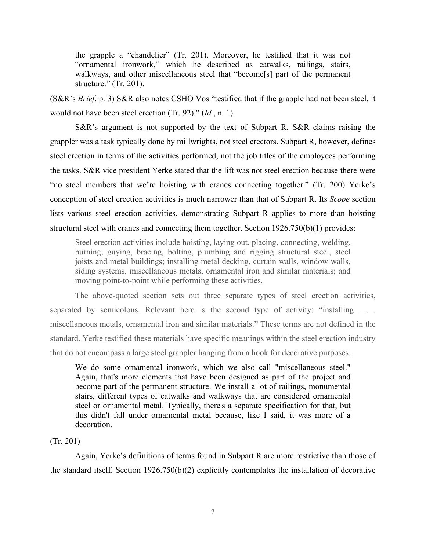structure." (Tr. 201). the grapple a "chandelier" (Tr. 201). Moreover, he testified that it was not "ornamental ironwork," which he described as catwalks, railings, stairs, walkways, and other miscellaneous steel that "become[s] part of the permanent

 (S&R's *Brief*, p. 3) S&R also notes CSHO Vos "testified that if the grapple had not been steel, it would not have been steel erection (Tr. 92)." (*Id.*, n. 1)

 the tasks. S&R vice president Yerke stated that the lift was not steel erection because there were conception of steel erection activities is much narrower than that of Subpart R. Its *Scope* section lists various steel erection activities, demonstrating Subpart R applies to more than hoisting S&R's argument is not supported by the text of Subpart R. S&R claims raising the grappler was a task typically done by millwrights, not steel erectors. Subpart R, however, defines steel erection in terms of the activities performed, not the job titles of the employees performing "no steel members that we're hoisting with cranes connecting together." (Tr. 200) Yerke's structural steel with cranes and connecting them together. Section 1926.750(b)(1) provides:

Steel erection activities include hoisting, laying out, placing, connecting, welding, burning, guying, bracing, bolting, plumbing and rigging structural steel, steel joists and metal buildings; installing metal decking, curtain walls, window walls, siding systems, miscellaneous metals, ornamental iron and similar materials; and moving point-to-point while performing these activities.

 standard. Yerke testified these materials have specific meanings within the steel erection industry that do not encompass a large steel grappler hanging from a hook for decorative purposes. The above-quoted section sets out three separate types of steel erection activities, separated by semicolons. Relevant here is the second type of activity: "installing . . . miscellaneous metals, ornamental iron and similar materials." These terms are not defined in the

We do some ornamental ironwork, which we also call "miscellaneous steel." Again, that's more elements that have been designed as part of the project and become part of the permanent structure. We install a lot of railings, monumental stairs, different types of catwalks and walkways that are considered ornamental steel or ornamental metal. Typically, there's a separate specification for that, but this didn't fall under ornamental metal because, like I said, it was more of a decoration.

#### (Tr. 201)

Again, Yerke's definitions of terms found in Subpart R are more restrictive than those of the standard itself. Section 1926.750(b)(2) explicitly contemplates the installation of decorative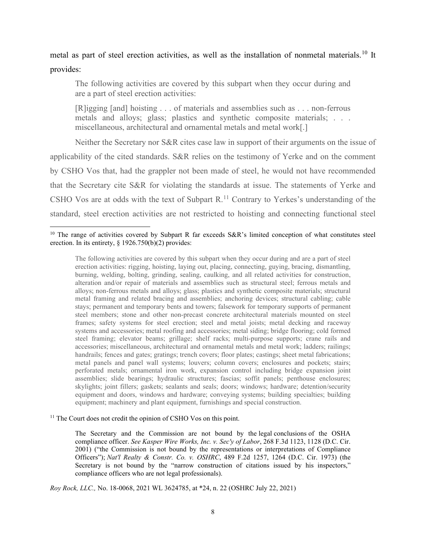# metal as part of steel erection activities, as well as the installation of nonmetal materials.<sup>[10](#page-7-0)</sup> It provides:

 The following activities are covered by this subpart when they occur during and are a part of steel erection activities:

 [R]igging [and] hoisting . . . of materials and assemblies such as . . . non-ferrous metals and alloys; glass; plastics and synthetic composite materials; . . . miscellaneous, architectural and ornamental metals and metal work[.]

 Neither the Secretary nor S&R cites case law in support of their arguments on the issue of CSHO Vos are at odds with the text of Subpart  $R<sup>11</sup>$  $R<sup>11</sup>$  $R<sup>11</sup>$  Contrary to Yerkes's understanding of the applicability of the cited standards. S&R relies on the testimony of Yerke and on the comment by CSHO Vos that, had the grappler not been made of steel, he would not have recommended that the Secretary cite S&R for violating the standards at issue. The statements of Yerke and standard, steel erection activities are not restricted to hoisting and connecting functional steel

 burning, welding, bolting, grinding, sealing, caulking, and all related activities for construction, frames; safety systems for steel erection; steel and metal joists; metal decking and raceway accessories; miscellaneous, architectural and ornamental metals and metal work; ladders; railings; skylights; joint fillers; gaskets; sealants and seals; doors; windows; hardware; detention/security equipment and doors, windows and hardware; conveying systems; building specialties; building The following activities are covered by this subpart when they occur during and are a part of steel erection activities: rigging, hoisting, laying out, placing, connecting, guying, bracing, dismantling, alteration and/or repair of materials and assemblies such as structural steel; ferrous metals and alloys; non-ferrous metals and alloys; glass; plastics and synthetic composite materials; structural metal framing and related bracing and assemblies; anchoring devices; structural cabling; cable stays; permanent and temporary bents and towers; falsework for temporary supports of permanent steel members; stone and other non-precast concrete architectural materials mounted on steel systems and accessories; metal roofing and accessories; metal siding; bridge flooring; cold formed steel framing; elevator beams; grillage; shelf racks; multi-purpose supports; crane rails and handrails; fences and gates; gratings; trench covers; floor plates; castings; sheet metal fabrications; metal panels and panel wall systems; louvers; column covers; enclosures and pockets; stairs; perforated metals; ornamental iron work, expansion control including bridge expansion joint assemblies; slide bearings; hydraulic structures; fascias; soffit panels; penthouse enclosures; equipment; machinery and plant equipment, furnishings and special construction.

<span id="page-7-1"></span> $11$  The Court does not credit the opinion of CSHO Vos on this point.

 The Secretary and the Commission are not bound by the legal conclusions of the OSHA compliance officer. *See Kasper Wire Works, Inc. v. Sec'y of Labor*, 268 F.3d 1123, 1128 (D.C. Cir. 2001) ("the Commission is not bound by the representations or interpretations of Compliance Officers"); *Nat'l Realty & Constr. Co. v. OSHRC*, 489 F.2d 1257, 1264 (D.C. Cir. 1973) (the Secretary is not bound by the "narrow construction of citations issued by his inspectors," compliance officers who are not legal professionals).

*Roy Rock, LLC.,* No. 18-0068, 2021 WL 3624785, at \*24, n. 22 (OSHRC July 22, 2021)

<span id="page-7-0"></span><sup>&</sup>lt;sup>10</sup> The range of activities covered by Subpart R far exceeds S&R's limited conception of what constitutes steel erection. In its entirety, § 1926.750(b)(2) provides: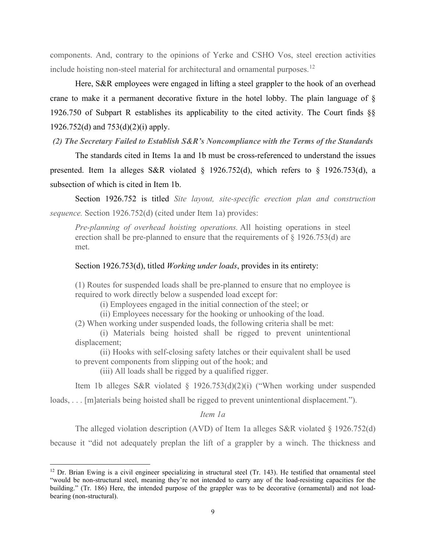include hoisting non-steel material for architectural and ornamental purposes.<sup>12</sup> components. And, contrary to the opinions of Yerke and CSHO Vos, steel erection activities

 1926.750 of Subpart R establishes its applicability to the cited activity. The Court finds §§ 1926.752(d) and 753(d)(2)(i) apply. Here, S&R employees were engaged in lifting a steel grappler to the hook of an overhead crane to make it a permanent decorative fixture in the hotel lobby. The plain language of §

*(2) The Secretary Failed to Establish S&R's Noncompliance with the Terms of the Standards* 

subsection of which is cited in Item 1b. The standards cited in Items 1a and 1b must be cross-referenced to understand the issues presented. Item 1a alleges S&R violated § 1926.752(d), which refers to § 1926.753(d), a

 *sequence.* Section 1926.752(d) (cited under Item 1a) provides: Section 1926.752 is titled *Site layout, site-specific erection plan and construction* 

*Pre-planning of overhead hoisting operations.* All hoisting operations in steel erection shall be pre-planned to ensure that the requirements of § 1926.753(d) are met.

#### Section 1926.753(d), titled *Working under loads*, provides in its entirety:

(1) Routes for suspended loads shall be pre-planned to ensure that no employee is required to work directly below a suspended load except for:

(i) Employees engaged in the initial connection of the steel; or

(ii) Employees necessary for the hooking or unhooking of the load.

(2) When working under suspended loads, the following criteria shall be met:

(i) Materials being hoisted shall be rigged to prevent unintentional displacement;

(ii) Hooks with self-closing safety latches or their equivalent shall be used to prevent components from slipping out of the hook; and

(iii) All loads shall be rigged by a qualified rigger.

Item 1b alleges S&R violated § 1926.753(d)(2)(i) ("When working under suspended

loads, . . . [m]aterials being hoisted shall be rigged to prevent unintentional displacement.").

*Item 1a* 

The alleged violation description (AVD) of Item 1a alleges S&R violated  $\S$  1926.752(d)

because it "did not adequately preplan the lift of a grappler by a winch. The thickness and

<span id="page-8-0"></span> $12$  Dr. Brian Ewing is a civil engineer specializing in structural steel (Tr. 143). He testified that ornamental steel "would be non-structural steel, meaning they're not intended to carry any of the load-resisting capacities for the building." (Tr. 186) Here, the intended purpose of the grappler was to be decorative (ornamental) and not loadbearing (non-structural).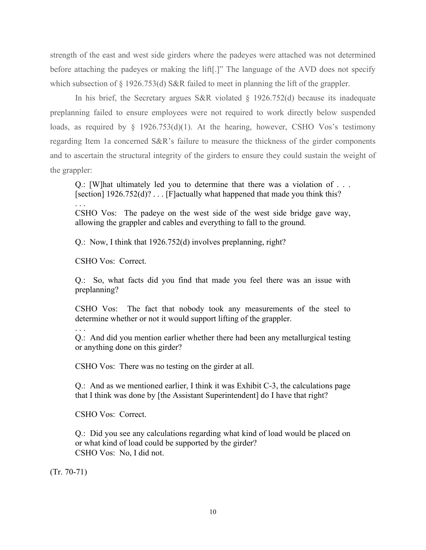strength of the east and west side girders where the padeyes were attached was not determined before attaching the padeyes or making the lift[.]" The language of the AVD does not specify which subsection of § 1926.753(d) S&R failed to meet in planning the lift of the grappler.

In his brief, the Secretary argues S&R violated  $\S$  1926.752(d) because its inadequate preplanning failed to ensure employees were not required to work directly below suspended loads, as required by § 1926.753(d)(1). At the hearing, however, CSHO Vos's testimony regarding Item 1a concerned S&R's failure to measure the thickness of the girder components and to ascertain the structural integrity of the girders to ensure they could sustain the weight of the grappler:

 Q.: [W]hat ultimately led you to determine that there was a violation of . . . [section]  $1926.752(d)$ ? . . . [F]actually what happened that made you think this? . . .

 CSHO Vos: The padeye on the west side of the west side bridge gave way, allowing the grappler and cables and everything to fall to the ground.

Q.: Now, I think that 1926.752(d) involves preplanning, right?

CSHO Vos: Correct.

 Q.: So, what facts did you find that made you feel there was an issue with preplanning?

 CSHO Vos: The fact that nobody took any measurements of the steel to determine whether or not it would support lifting of the grappler.

 Q.: And did you mention earlier whether there had been any metallurgical testing or anything done on this girder?

CSHO Vos: There was no testing on the girder at all.

 Q.: And as we mentioned earlier, I think it was Exhibit C-3, the calculations page that I think was done by [the Assistant Superintendent] do I have that right?

CSHO Vos: Correct.

 Q.: Did you see any calculations regarding what kind of load would be placed on CSHO Vos: No, I did not. or what kind of load could be supported by the girder?

(Tr. 70-71)

. . .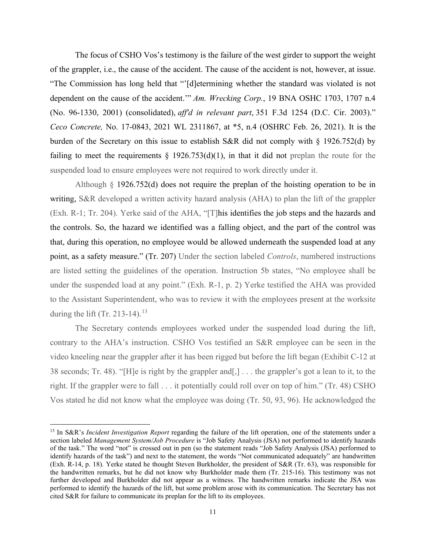The focus of CSHO Vos's testimony is the failure of the west girder to support the weight of the grappler, i.e., the cause of the accident. The cause of the accident is not, however, at issue. "The Commission has long held that "'[d]etermining whether the standard was violated is not dependent on the cause of the accident.'" *Am. Wrecking Corp.*, 19 BNA OSHC 1703, 1707 n.4 (No. 96-1330, 2001) (consolidated), *aff'd in relevant part*, 351 F.3d 1254 (D.C. Cir. 2003)." *Ceco Concrete,* No. 17-0843, 2021 WL 2311867, at \*5, n.4 (OSHRC Feb. 26, 2021). It is the burden of the Secretary on this issue to establish S&R did not comply with § 1926.752(d) by failing to meet the requirements  $\S$  1926.753(d)(1), in that it did not preplan the route for the suspended load to ensure employees were not required to work directly under it.

 writing, S&R developed a written activity hazard analysis (AHA) to plan the lift of the grappler (Exh. R-1; Tr. 204). Yerke said of the AHA, "[T]his identifies the job steps and the hazards and under the suspended load at any point." (Exh. R-1, p. 2) Yerke testified the AHA was provided during the lift (Tr. 2[13](#page-10-0)-14).<sup>13</sup> Although § 1926.752(d) does not require the preplan of the hoisting operation to be in the controls. So, the hazard we identified was a falling object, and the part of the control was that, during this operation, no employee would be allowed underneath the suspended load at any point, as a safety measure." (Tr. 207) Under the section labeled *Controls*, numbered instructions are listed setting the guidelines of the operation. Instruction 5b states, "No employee shall be to the Assistant Superintendent, who was to review it with the employees present at the worksite

The Secretary contends employees worked under the suspended load during the lift, contrary to the AHA's instruction. CSHO Vos testified an S&R employee can be seen in the video kneeling near the grappler after it has been rigged but before the lift began (Exhibit C-12 at 38 seconds; Tr. 48). "[H]e is right by the grappler and[,] . . . the grappler's got a lean to it, to the right. If the grappler were to fall . . . it potentially could roll over on top of him." (Tr. 48) CSHO Vos stated he did not know what the employee was doing (Tr. 50, 93, 96). He acknowledged the

<span id="page-10-0"></span> of the task." The word "not" is crossed out in pen (so the statement reads "Job Safety Analysis (JSA) performed to (Exh. R-14, p. 18). Yerke stated he thought Steven Burkholder, the president of S&R (Tr. 63), was responsible for the handwritten remarks, but he did not know why Burkholder made them (Tr. 215-16). This testimony was not 13 In S&R's *Incident Investigation Report* regarding the failure of the lift operation, one of the statements under a section labeled *Management System/Job Procedure* is "Job Safety Analysis (JSA) not performed to identify hazards identify hazards of the task") and next to the statement, the words "Not communicated adequately" are handwritten further developed and Burkholder did not appear as a witness. The handwritten remarks indicate the JSA was performed to identify the hazards of the lift, but some problem arose with its communication. The Secretary has not cited S&R for failure to communicate its preplan for the lift to its employees.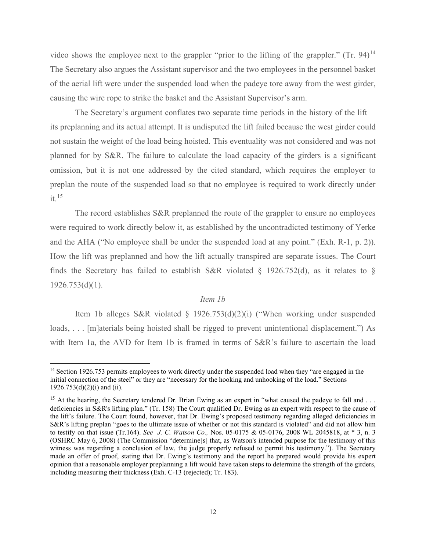The Secretary also argues the Assistant supervisor and the two employees in the personnel basket of the aerial lift were under the suspended load when the padeye tore away from the west girder, video shows the employee next to the grappler "prior to the lifting of the grappler." (Tr. 94)<sup>[14](#page-11-0)</sup> causing the wire rope to strike the basket and the Assistant Supervisor's arm.

 planned for by S&R. The failure to calculate the load capacity of the girders is a significant omission, but it is not one addressed by the cited standard, which requires the employer to The Secretary's argument conflates two separate time periods in the history of the lift its preplanning and its actual attempt. It is undisputed the lift failed because the west girder could not sustain the weight of the load being hoisted. This eventuality was not considered and was not preplan the route of the suspended load so that no employee is required to work directly under  $it.$ <sup>[15](#page-11-1)</sup>

 The record establishes S&R preplanned the route of the grappler to ensure no employees were required to work directly below it, as established by the uncontradicted testimony of Yerke and the AHA ("No employee shall be under the suspended load at any point." (Exh. R-1, p. 2)). How the lift was preplanned and how the lift actually transpired are separate issues. The Court finds the Secretary has failed to establish S&R violated § 1926.752(d), as it relates to §  $1926.753(d)(1)$ .

# *Item 1b*

 with Item 1a, the AVD for Item 1b is framed in terms of S&R's failure to ascertain the load Item 1b alleges S&R violated § 1926.753(d)(2)(i) ("When working under suspended loads, . . . [m]aterials being hoisted shall be rigged to prevent unintentional displacement.") As

<span id="page-11-0"></span><sup>&</sup>lt;sup>14</sup> Section 1926.753 permits employees to work directly under the suspended load when they "are engaged in the initial connection of the steel" or they are "necessary for the hooking and unhooking of the load." Sections 1926.753(d)(2)(i) and (ii).

<span id="page-11-1"></span><sup>&</sup>lt;sup>15</sup> At the hearing, the Secretary tendered Dr. Brian Ewing as an expert in "what caused the padeye to fall and ... S&R's lifting preplan "goes to the ultimate issue of whether or not this standard is violated" and did not allow him to testify on that issue (Tr.164). *See J. C. Watson Co.,* Nos. 05-0175 & 05-0176, 2008 WL 2045818, at \* 3, n. 3 witness was regarding a conclusion of law, the judge properly refused to permit his testimony."). The Secretary made an offer of proof, stating that Dr. Ewing's testimony and the report he prepared would provide his expert opinion that a reasonable employer preplanning a lift would have taken steps to determine the strength of the girders, including measuring their thickness (Exh. C-13 (rejected); Tr. 183). deficiencies in S&R's lifting plan." (Tr. 158) The Court qualified Dr. Ewing as an expert with respect to the cause of the lift's failure. The Court found, however, that Dr. Ewing's proposed testimony regarding alleged deficiencies in (OSHRC May 6, 2008) (The Commission "determine[s] that, as Watson's intended purpose for the testimony of this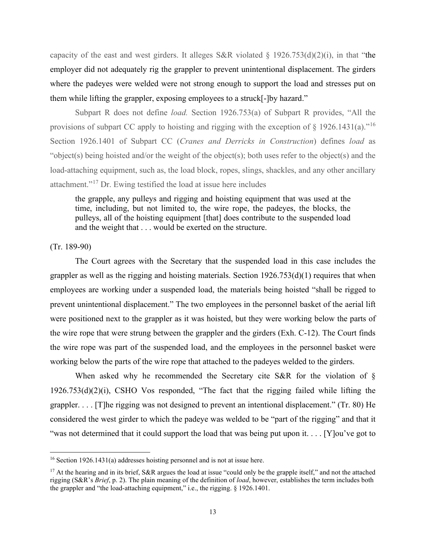capacity of the east and west girders. It alleges S&R violated  $\S$  1926.753(d)(2)(i), in that "the employer did not adequately rig the grappler to prevent unintentional displacement. The girders where the padeyes were welded were not strong enough to support the load and stresses put on them while lifting the grappler, exposing employees to a struck[-]by hazard."

 "object(s) being hoisted and/or the weight of the object(s); both uses refer to the object(s) and the load-attaching equipment, such as, the load block, ropes, slings, shackles, and any other ancillary attachment."<sup>17</sup> Dr. Ewing testified the load at issue here includes Subpart R does not define *load.* Section 1926.753(a) of Subpart R provides, "All the provisions of subpart CC apply to hoisting and rigging with the exception of  $\S$  1926.1431(a).<sup>"[16](#page-12-0)</sup> Section 1926.1401 of Subpart CC (*Cranes and Derricks in Construction*) defines *load* as

the grapple, any pulleys and rigging and hoisting equipment that was used at the time, including, but not limited to, the wire rope, the padeyes, the blocks, the pulleys, all of the hoisting equipment [that] does contribute to the suspended load and the weight that . . . would be exerted on the structure.

#### (Tr. 189-90)

 grappler as well as the rigging and hoisting materials. Section 1926.753(d)(1) requires that when the wire rope was part of the suspended load, and the employees in the personnel basket were working below the parts of the wire rope that attached to the padeyes welded to the girders. The Court agrees with the Secretary that the suspended load in this case includes the employees are working under a suspended load, the materials being hoisted "shall be rigged to prevent unintentional displacement." The two employees in the personnel basket of the aerial lift were positioned next to the grappler as it was hoisted, but they were working below the parts of the wire rope that were strung between the grappler and the girders (Exh. C-12). The Court finds

 grappler. . . . [T]he rigging was not designed to prevent an intentional displacement." (Tr. 80) He considered the west girder to which the padeye was welded to be "part of the rigging" and that it When asked why he recommended the Secretary cite S&R for the violation of § 1926.753(d)(2)(i), CSHO Vos responded, "The fact that the rigging failed while lifting the "was not determined that it could support the load that was being put upon it. . . . [Y]ou've got to

<span id="page-12-0"></span><sup>&</sup>lt;sup>16</sup> Section 1926.1431(a) addresses hoisting personnel and is not at issue here.

<span id="page-12-1"></span> rigging (S&R's *Brief*, p. 2). The plain meaning of the definition of *load*, however, establishes the term includes both <sup>17</sup> At the hearing and in its brief, S&R argues the load at issue "could only be the grapple itself," and not the attached the grappler and "the load-attaching equipment," i.e., the rigging. § 1926.1401.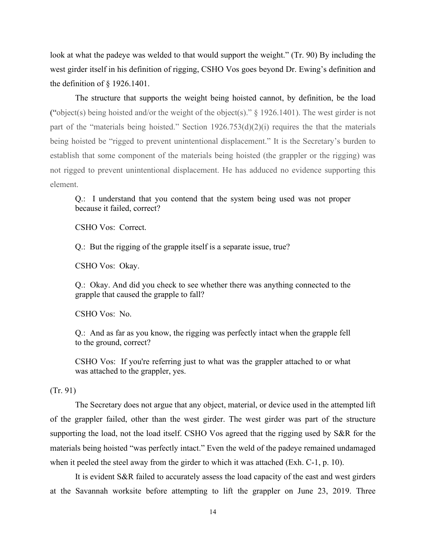the definition of  $\S$  1926.1401. the definition of § 1926.1401.<br>The structure that supports the weight being hoisted cannot, by definition, be the load look at what the padeye was welded to that would support the weight." (Tr. 90) By including the west girder itself in his definition of rigging, CSHO Vos goes beyond Dr. Ewing's definition and

part of the "materials being hoisted." Section 1926.753(d)(2)(i) requires the that the materials establish that some component of the materials being hoisted (the grappler or the rigging) was element. element. Q.: I understand that you contend that the system being used was not proper ("object(s) being hoisted and/or the weight of the object(s)."  $\S$  1926.1401). The west girder is not being hoisted be "rigged to prevent unintentional displacement." It is the Secretary's burden to not rigged to prevent unintentional displacement. He has adduced no evidence supporting this

because it failed, correct?

CSHO Vos: Correct.

Q.: But the rigging of the grapple itself is a separate issue, true?

CSHO Vos: Okay.

 Q.: Okay. And did you check to see whether there was anything connected to the grapple that caused the grapple to fall?

CSHO Vos: No.

 Q.: And as far as you know, the rigging was perfectly intact when the grapple fell to the ground, correct?

 CSHO Vos: If you're referring just to what was the grappler attached to or what was attached to the grappler, yes.

(Tr. 91)

 when it peeled the steel away from the girder to which it was attached (Exh. C-1, p. 10). The Secretary does not argue that any object, material, or device used in the attempted lift of the grappler failed, other than the west girder. The west girder was part of the structure supporting the load, not the load itself. CSHO Vos agreed that the rigging used by S&R for the materials being hoisted "was perfectly intact." Even the weld of the padeye remained undamaged

It is evident S&R failed to accurately assess the load capacity of the east and west girders at the Savannah worksite before attempting to lift the grappler on June 23, 2019. Three